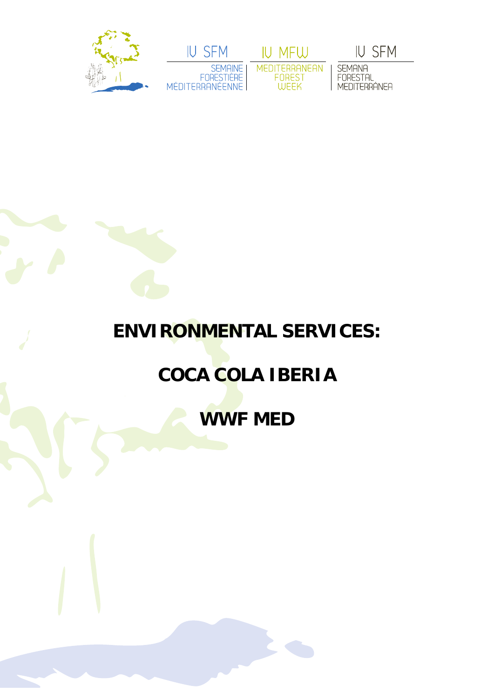



IU MFW MEDITERRANEAN<br>FOREST<br>WEEK

**IU SFM** 

SEMANA<br>FORESTAL<br>MEDITERRÁNEA

## **ENVIRONMENTAL SERVICES:**

## **COCA COLA IBERIA**

**WWF MED**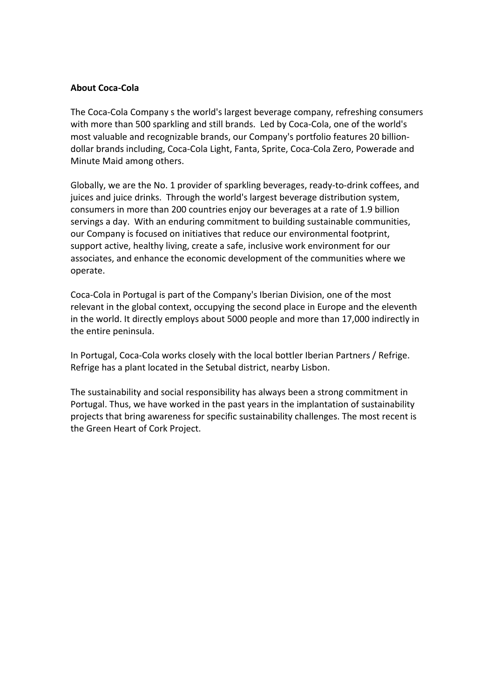## **About Coca‐Cola**

The Coca‐Cola Company s the world's largest beverage company, refreshing consumers with more than 500 sparkling and still brands. Led by Coca-Cola, one of the world's most valuable and recognizable brands, our Company's portfolio features 20 billion‐ dollar brands including, Coca‐Cola Light, Fanta, Sprite, Coca‐Cola Zero, Powerade and Minute Maid among others.

Globally, we are the No. 1 provider of sparkling beverages, ready‐to‐drink coffees, and juices and juice drinks. Through the world's largest beverage distribution system, consumers in more than 200 countries enjoy our beverages at a rate of 1.9 billion servings a day. With an enduring commitment to building sustainable communities, our Company is focused on initiatives that reduce our environmental footprint, support active, healthy living, create a safe, inclusive work environment for our associates, and enhance the economic development of the communities where we operate.

Coca‐Cola in Portugal is part of the Company's Iberian Division, one of the most relevant in the global context, occupying the second place in Europe and the eleventh in the world. It directly employs about 5000 people and more than 17,000 indirectly in the entire peninsula.

In Portugal, Coca-Cola works closely with the local bottler Iberian Partners / Refrige. Refrige has a plant located in the Setubal district, nearby Lisbon.

The sustainability and social responsibility has always been a strong commitment in Portugal. Thus, we have worked in the past years in the implantation of sustainability projects that bring awareness for specific sustainability challenges. The most recent is the Green Heart of Cork Project.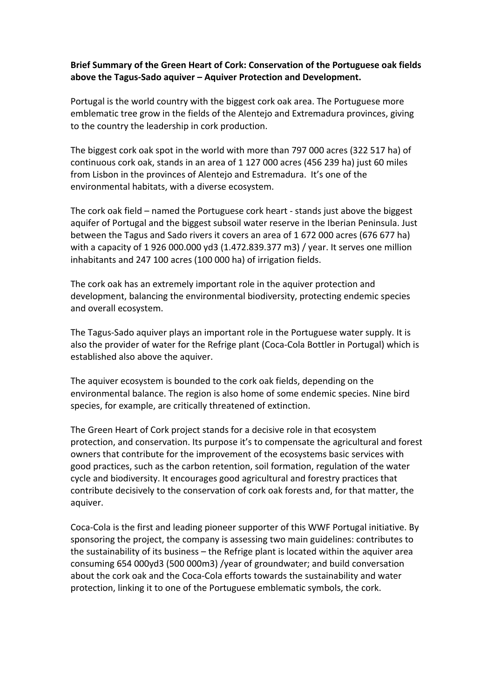## **Brief Summary of the Green Heart of Cork: Conservation of the Portuguese oak fields above the Tagus‐Sado aquiver – Aquiver Protection and Development.**

Portugal is the world country with the biggest cork oak area. The Portuguese more emblematic tree grow in the fields of the Alentejo and Extremadura provinces, giving to the country the leadership in cork production.

The biggest cork oak spot in the world with more than 797 000 acres (322 517 ha) of continuous cork oak, stands in an area of 1 127 000 acres (456 239 ha) just 60 miles from Lisbon in the provinces of Alentejo and Estremadura. It's one of the environmental habitats, with a diverse ecosystem.

The cork oak field – named the Portuguese cork heart ‐ stands just above the biggest aquifer of Portugal and the biggest subsoil water reserve in the Iberian Peninsula. Just between the Tagus and Sado rivers it covers an area of 1 672 000 acres (676 677 ha) with a capacity of 1 926 000.000 yd3 (1.472.839.377 m3) / year. It serves one million inhabitants and 247 100 acres (100 000 ha) of irrigation fields.

The cork oak has an extremely important role in the aquiver protection and development, balancing the environmental biodiversity, protecting endemic species and overall ecosystem.

The Tagus‐Sado aquiver plays an important role in the Portuguese water supply. It is also the provider of water for the Refrige plant (Coca‐Cola Bottler in Portugal) which is established also above the aquiver.

The aquiver ecosystem is bounded to the cork oak fields, depending on the environmental balance. The region is also home of some endemic species. Nine bird species, for example, are critically threatened of extinction.

The Green Heart of Cork project stands for a decisive role in that ecosystem protection, and conservation. Its purpose it's to compensate the agricultural and forest owners that contribute for the improvement of the ecosystems basic services with good practices, such as the carbon retention, soil formation, regulation of the water cycle and biodiversity. It encourages good agricultural and forestry practices that contribute decisively to the conservation of cork oak forests and, for that matter, the aquiver.

Coca‐Cola is the first and leading pioneer supporter of this WWF Portugal initiative. By sponsoring the project, the company is assessing two main guidelines: contributes to the sustainability of its business – the Refrige plant is located within the aquiver area consuming 654 000yd3 (500 000m3) /year of groundwater; and build conversation about the cork oak and the Coca‐Cola efforts towards the sustainability and water protection, linking it to one of the Portuguese emblematic symbols, the cork.